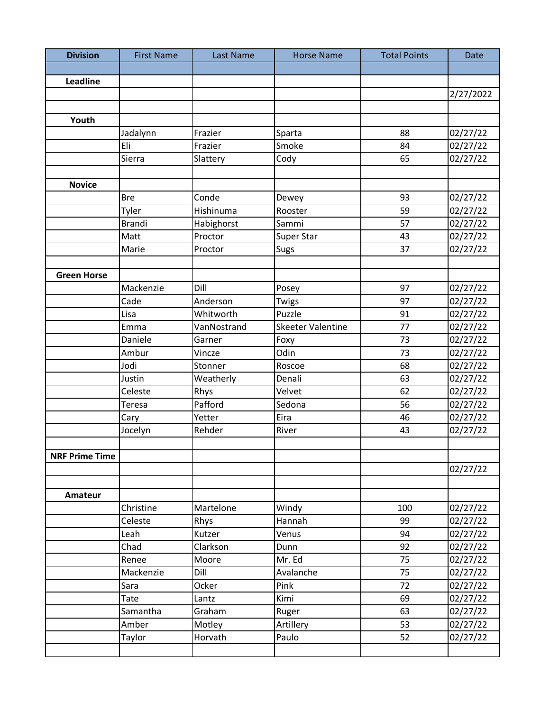| <b>Division</b>       | <b>First Name</b> | <b>Last Name</b> | <b>Horse Name</b>        | <b>Total Points</b> | Date      |
|-----------------------|-------------------|------------------|--------------------------|---------------------|-----------|
|                       |                   |                  |                          |                     |           |
| Leadline              |                   |                  |                          |                     |           |
|                       |                   |                  |                          |                     | 2/27/2022 |
|                       |                   |                  |                          |                     |           |
| Youth                 |                   |                  |                          |                     |           |
|                       | Jadalynn          | Frazier          | Sparta                   | 88                  | 02/27/22  |
|                       | Eli               | Frazier          | Smoke                    | 84                  | 02/27/22  |
|                       | Sierra            | Slattery         | Cody                     | 65                  | 02/27/22  |
|                       |                   |                  |                          |                     |           |
| <b>Novice</b>         |                   |                  |                          |                     |           |
|                       | <b>Bre</b>        | Conde            | Dewey                    | 93                  | 02/27/22  |
|                       | Tyler             | Hishinuma        | Rooster                  | 59                  | 02/27/22  |
|                       | <b>Brandi</b>     | Habighorst       | Sammi                    | 57                  | 02/27/22  |
|                       | Matt              | Proctor          | Super Star               | 43                  | 02/27/22  |
|                       | Marie             | Proctor          | <b>Sugs</b>              | 37                  | 02/27/22  |
|                       |                   |                  |                          |                     |           |
| <b>Green Horse</b>    |                   |                  |                          |                     |           |
|                       | Mackenzie         | Dill             | Posey                    | 97                  | 02/27/22  |
|                       | Cade              | Anderson         | Twigs                    | 97                  | 02/27/22  |
|                       | Lisa              | Whitworth        | Puzzle                   | 91                  | 02/27/22  |
|                       | Emma              | VanNostrand      | <b>Skeeter Valentine</b> | 77                  | 02/27/22  |
|                       | Daniele           | Garner           | Foxy                     | 73                  | 02/27/22  |
|                       | Ambur             | Vincze           | Odin                     | 73                  | 02/27/22  |
|                       | Jodi              | Stonner          | Roscoe                   | 68                  | 02/27/22  |
|                       | Justin            | Weatherly        | Denali                   | 63                  | 02/27/22  |
|                       | Celeste           | Rhys             | Velvet                   | 62                  | 02/27/22  |
|                       | Teresa            | Pafford          | Sedona                   | 56                  | 02/27/22  |
|                       | Cary              | Yetter           | Eira                     | 46                  | 02/27/22  |
|                       | Jocelyn           | Rehder           | River                    | 43                  | 02/27/22  |
|                       |                   |                  |                          |                     |           |
| <b>NRF Prime Time</b> |                   |                  |                          |                     |           |
|                       |                   |                  |                          |                     | 02/27/22  |
|                       |                   |                  |                          |                     |           |
| Amateur               |                   |                  |                          |                     |           |
|                       | Christine         | Martelone        | Windy                    | 100                 | 02/27/22  |
|                       | Celeste           | Rhys             | Hannah                   | 99                  | 02/27/22  |
|                       | Leah              | Kutzer           | Venus                    | 94                  | 02/27/22  |
|                       | Chad              | Clarkson         | Dunn                     | 92                  | 02/27/22  |
|                       | Renee             | Moore            | Mr. Ed                   | 75                  | 02/27/22  |
|                       | Mackenzie         | Dill             | Avalanche                | 75                  | 02/27/22  |
|                       | Sara              | Ocker            | Pink                     | 72                  | 02/27/22  |
|                       | Tate              | Lantz            | Kimi                     | 69                  | 02/27/22  |
|                       | Samantha          | Graham           | Ruger                    | 63                  | 02/27/22  |
|                       | Amber             | Motley           | Artillery                | 53                  | 02/27/22  |
|                       | Taylor            | Horvath          | Paulo                    | 52                  | 02/27/22  |
|                       |                   |                  |                          |                     |           |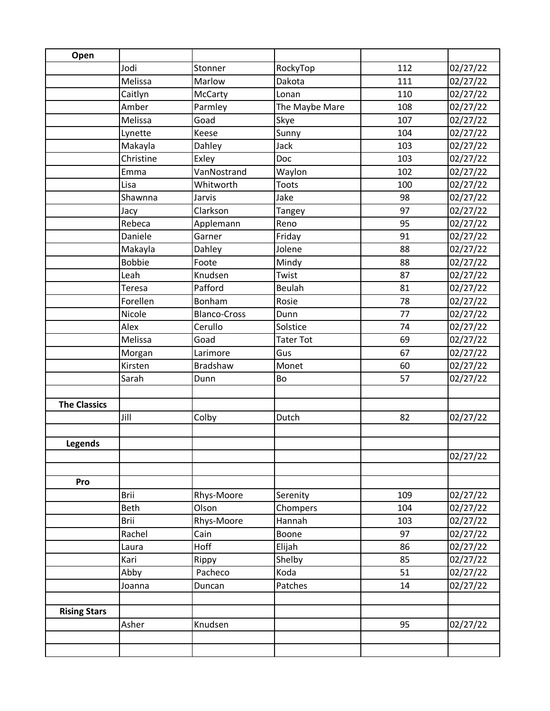| Open                |               |                     |                  |     |          |
|---------------------|---------------|---------------------|------------------|-----|----------|
|                     | Jodi          | Stonner             | RockyTop         | 112 | 02/27/22 |
|                     | Melissa       | Marlow              | Dakota           | 111 | 02/27/22 |
|                     | Caitlyn       | McCarty             | Lonan            | 110 | 02/27/22 |
|                     | Amber         | Parmley             | The Maybe Mare   | 108 | 02/27/22 |
|                     | Melissa       | Goad                | Skye             | 107 | 02/27/22 |
|                     | Lynette       | Keese               | Sunny            | 104 | 02/27/22 |
|                     | Makayla       | Dahley              | Jack             | 103 | 02/27/22 |
|                     | Christine     | Exley               | Doc              | 103 | 02/27/22 |
|                     | Emma          | VanNostrand         | Waylon           | 102 | 02/27/22 |
|                     | Lisa          | Whitworth           | <b>Toots</b>     | 100 | 02/27/22 |
|                     | Shawnna       | Jarvis              | Jake             | 98  | 02/27/22 |
|                     | Jacy          | Clarkson            | Tangey           | 97  | 02/27/22 |
|                     | Rebeca        | Applemann           | Reno             | 95  | 02/27/22 |
|                     | Daniele       | Garner              | Friday           | 91  | 02/27/22 |
|                     | Makayla       | Dahley              | Jolene           | 88  | 02/27/22 |
|                     | <b>Bobbie</b> | Foote               | Mindy            | 88  | 02/27/22 |
|                     | Leah          | Knudsen             | Twist            | 87  | 02/27/22 |
|                     | Teresa        | Pafford             | Beulah           | 81  | 02/27/22 |
|                     | Forellen      | Bonham              | Rosie            | 78  | 02/27/22 |
|                     | Nicole        | <b>Blanco-Cross</b> | Dunn             | 77  | 02/27/22 |
|                     | Alex          | Cerullo             | Solstice         | 74  | 02/27/22 |
|                     | Melissa       | Goad                | <b>Tater Tot</b> | 69  | 02/27/22 |
|                     | Morgan        | Larimore            | Gus              | 67  | 02/27/22 |
|                     | Kirsten       | <b>Bradshaw</b>     | Monet            | 60  | 02/27/22 |
|                     | Sarah         | Dunn                | Bo               | 57  | 02/27/22 |
|                     |               |                     |                  |     |          |
| <b>The Classics</b> |               |                     |                  |     |          |
|                     | Jill          | Colby               | Dutch            | 82  | 02/27/22 |
|                     |               |                     |                  |     |          |
| <b>Legends</b>      |               |                     |                  |     |          |
|                     |               |                     |                  |     | 02/27/22 |
|                     |               |                     |                  |     |          |
| Pro                 |               |                     |                  |     |          |
|                     | <b>Brii</b>   | Rhys-Moore          | Serenity         | 109 | 02/27/22 |
|                     | <b>Beth</b>   | Olson               | Chompers         | 104 | 02/27/22 |
|                     | Brii          | Rhys-Moore          | Hannah           | 103 | 02/27/22 |
|                     | Rachel        | Cain                | Boone            | 97  | 02/27/22 |
|                     | Laura         | Hoff                | Elijah           | 86  | 02/27/22 |
|                     | Kari          | Rippy               | Shelby           | 85  | 02/27/22 |
|                     | Abby          | Pacheco             | Koda             | 51  | 02/27/22 |
|                     | Joanna        | Duncan              | Patches          | 14  | 02/27/22 |
|                     |               |                     |                  |     |          |
| <b>Rising Stars</b> | Asher         | Knudsen             |                  | 95  | 02/27/22 |
|                     |               |                     |                  |     |          |
|                     |               |                     |                  |     |          |
|                     |               |                     |                  |     |          |